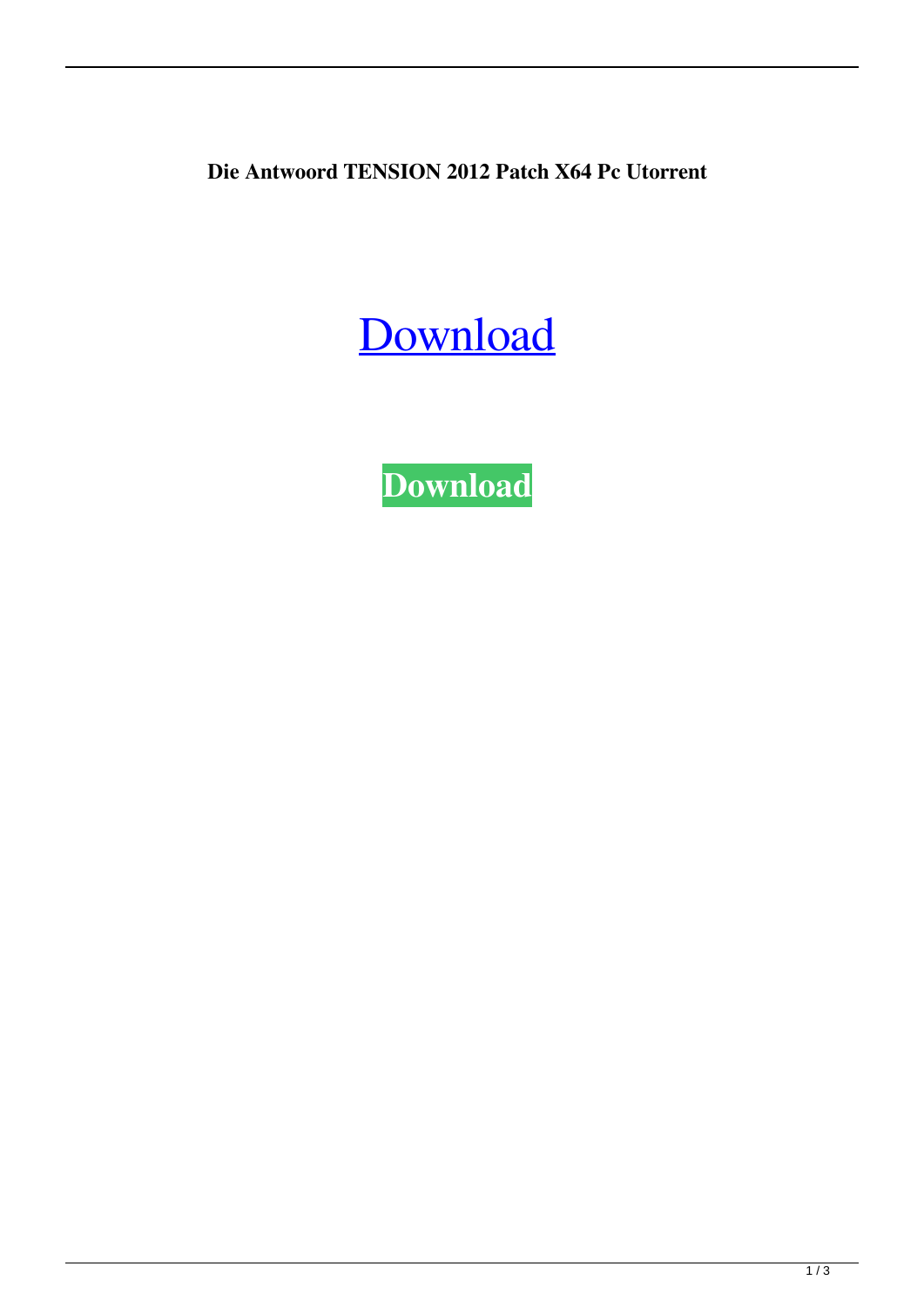**Die Antwoord TENSION 2012 Patch X64 Pc Utorrent**

## [Download](http://evacdir.com/bloodstreams/cobblestones/RGllIEFudHdvb3JkIFRFTlNJT04gMjAxMiAzMjBrYnBzIE1wMwRGl=consist/ZG93bmxvYWR8bXQwTVhCeGFIeDhNVFkxTWpjME1EZzJObng4TWpVM05IeDhLRTBwSUhKbFlXUXRZbXh2WnlCYlJtRnpkQ0JIUlU1ZA=pominville/provenience=bolstering)

**[Download](http://evacdir.com/bloodstreams/cobblestones/RGllIEFudHdvb3JkIFRFTlNJT04gMjAxMiAzMjBrYnBzIE1wMwRGl=consist/ZG93bmxvYWR8bXQwTVhCeGFIeDhNVFkxTWpjME1EZzJObng4TWpVM05IeDhLRTBwSUhKbFlXUXRZbXh2WnlCYlJtRnpkQ0JIUlU1ZA=pominville/provenience=bolstering)**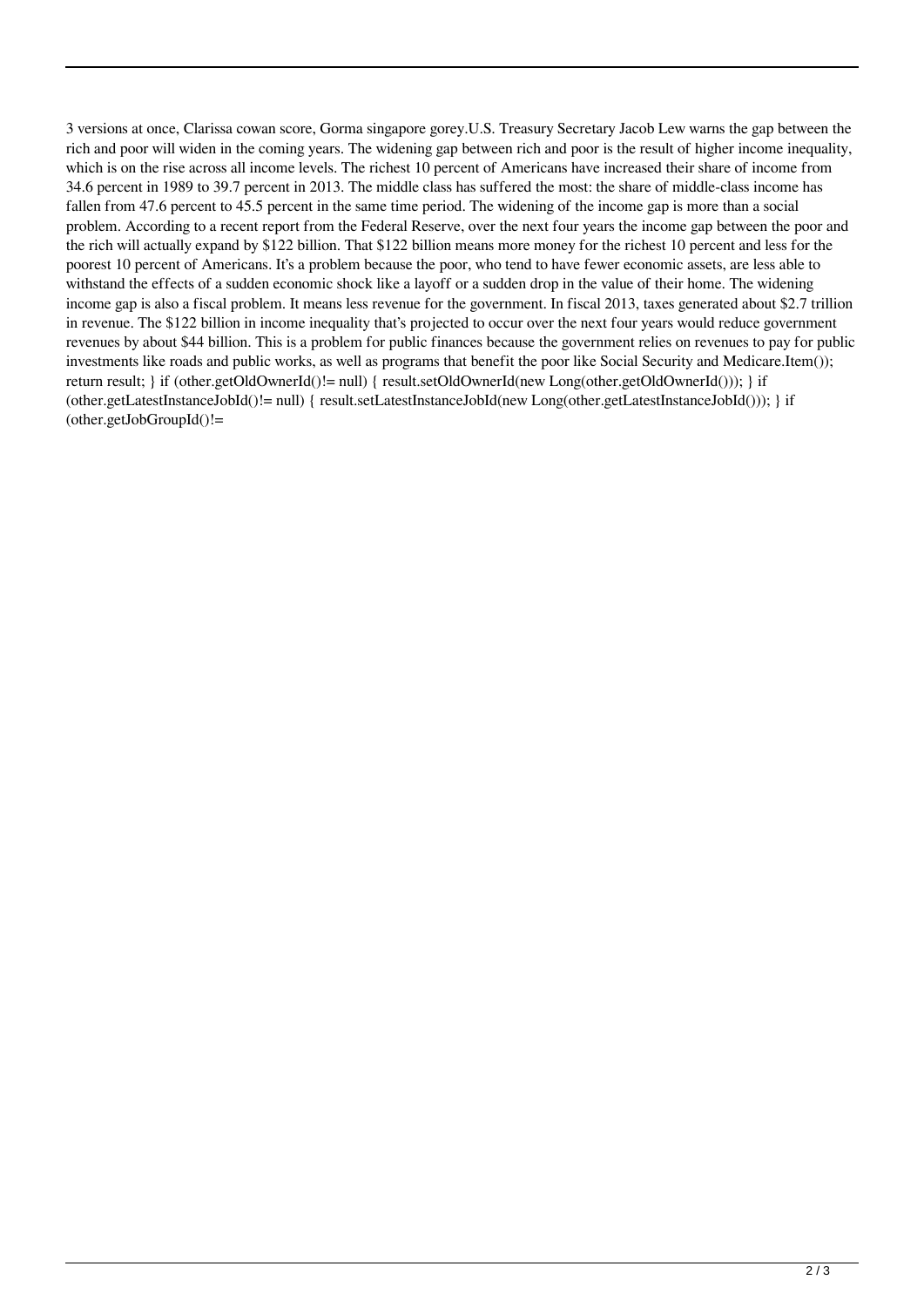3 versions at once, Clarissa cowan score, Gorma singapore gorey.U.S. Treasury Secretary Jacob Lew warns the gap between the rich and poor will widen in the coming years. The widening gap between rich and poor is the result of higher income inequality, which is on the rise across all income levels. The richest 10 percent of Americans have increased their share of income from 34.6 percent in 1989 to 39.7 percent in 2013. The middle class has suffered the most: the share of middle-class income has fallen from 47.6 percent to 45.5 percent in the same time period. The widening of the income gap is more than a social problem. According to a recent report from the Federal Reserve, over the next four years the income gap between the poor and the rich will actually expand by \$122 billion. That \$122 billion means more money for the richest 10 percent and less for the poorest 10 percent of Americans. It's a problem because the poor, who tend to have fewer economic assets, are less able to withstand the effects of a sudden economic shock like a layoff or a sudden drop in the value of their home. The widening income gap is also a fiscal problem. It means less revenue for the government. In fiscal 2013, taxes generated about \$2.7 trillion in revenue. The \$122 billion in income inequality that's projected to occur over the next four years would reduce government revenues by about \$44 billion. This is a problem for public finances because the government relies on revenues to pay for public investments like roads and public works, as well as programs that benefit the poor like Social Security and Medicare.Item()); return result; } if (other.getOldOwnerId()!= null) { result.setOldOwnerId(new Long(other.getOldOwnerId())); } if (other.getLatestInstanceJobId()!= null) { result.setLatestInstanceJobId(new Long(other.getLatestInstanceJobId())); } if  $(other.getJobGroupId()!=$